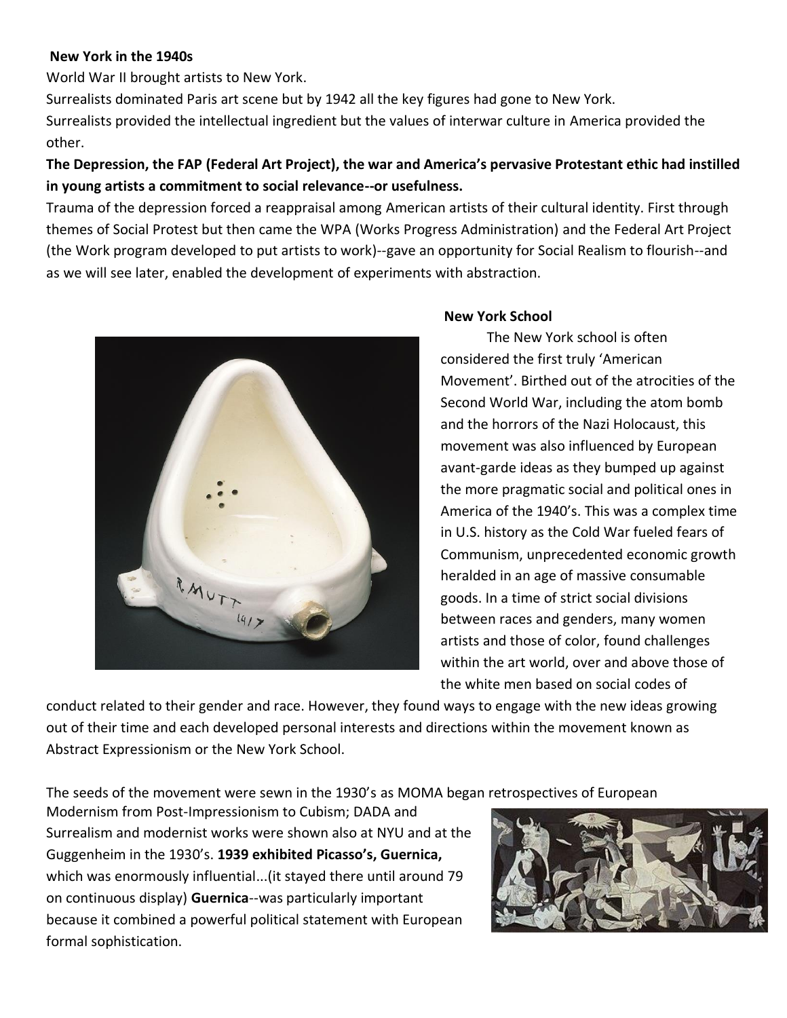### **New York in the 1940s**

World War II brought artists to New York.

Surrealists dominated Paris art scene but by 1942 all the key figures had gone to New York. Surrealists provided the intellectual ingredient but the values of interwar culture in America provided the other.

# **The Depression, the FAP (Federal Art Project), the war and America's pervasive Protestant ethic had instilled in young artists a commitment to social relevance--or usefulness.**

Trauma of the depression forced a reappraisal among American artists of their cultural identity. First through themes of Social Protest but then came the WPA (Works Progress Administration) and the Federal Art Project (the Work program developed to put artists to work)--gave an opportunity for Social Realism to flourish--and as we will see later, enabled the development of experiments with abstraction.



## **New York School**

The New York school is often considered the first truly 'American Movement'. Birthed out of the atrocities of the Second World War, including the atom bomb and the horrors of the Nazi Holocaust, this movement was also influenced by European avant-garde ideas as they bumped up against the more pragmatic social and political ones in America of the 1940's. This was a complex time in U.S. history as the Cold War fueled fears of Communism, unprecedented economic growth heralded in an age of massive consumable goods. In a time of strict social divisions between races and genders, many women artists and those of color, found challenges within the art world, over and above those of the white men based on social codes of

conduct related to their gender and race. However, they found ways to engage with the new ideas growing out of their time and each developed personal interests and directions within the movement known as Abstract Expressionism or the New York School.

The seeds of the movement were sewn in the 1930's as MOMA began retrospectives of European

Modernism from Post-Impressionism to Cubism; DADA and Surrealism and modernist works were shown also at NYU and at the Guggenheim in the 1930's. **1939 exhibited Picasso's, Guernica,**  which was enormously influential...(it stayed there until around 79 on continuous display) **Guernica**--was particularly important because it combined a powerful political statement with European formal sophistication.

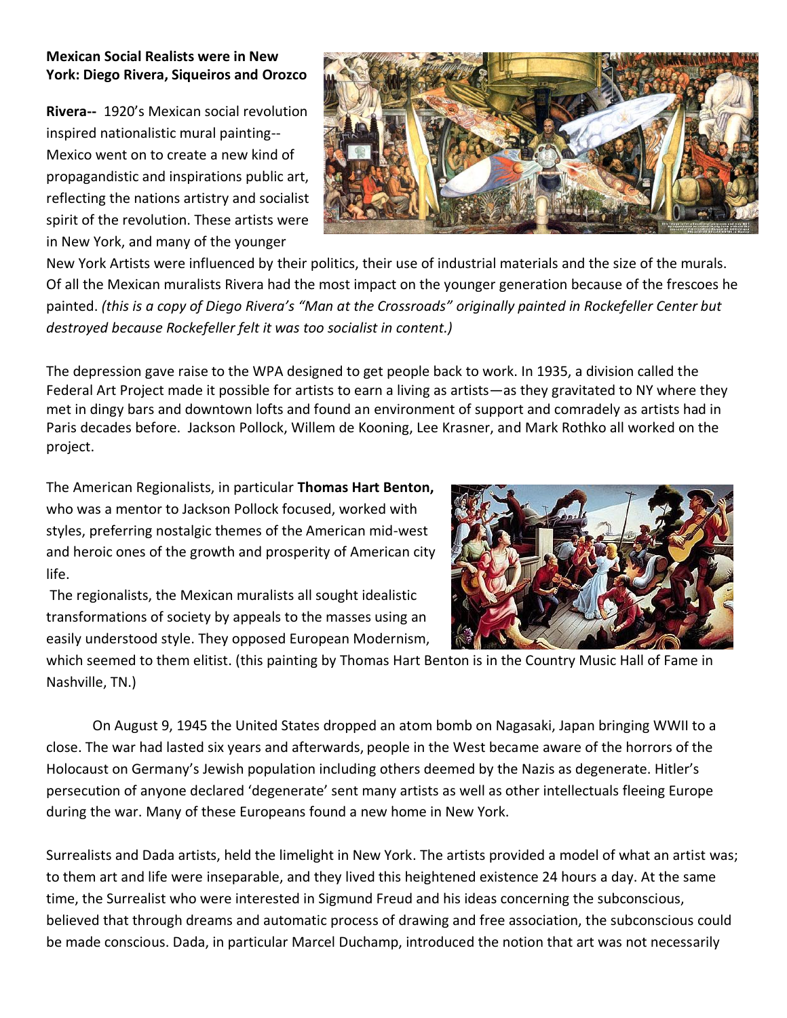## **Mexican Social Realists were in New York: Diego Rivera, Siqueiros and Orozco**

**Rivera--** 1920's Mexican social revolution inspired nationalistic mural painting-- Mexico went on to create a new kind of propagandistic and inspirations public art, reflecting the nations artistry and socialist spirit of the revolution. These artists were in New York, and many of the younger



New York Artists were influenced by their politics, their use of industrial materials and the size of the murals. Of all the Mexican muralists Rivera had the most impact on the younger generation because of the frescoes he painted. *(this is a copy of Diego Rivera's "Man at the Crossroads" originally painted in Rockefeller Center but destroyed because Rockefeller felt it was too socialist in content.)*

The depression gave raise to the WPA designed to get people back to work. In 1935, a division called the Federal Art Project made it possible for artists to earn a living as artists—as they gravitated to NY where they met in dingy bars and downtown lofts and found an environment of support and comradely as artists had in Paris decades before. Jackson Pollock, Willem de Kooning, Lee Krasner, and Mark Rothko all worked on the project.

The American Regionalists, in particular **Thomas Hart Benton,**  who was a mentor to Jackson Pollock focused, worked with styles, preferring nostalgic themes of the American mid-west and heroic ones of the growth and prosperity of American city life.

The regionalists, the Mexican muralists all sought idealistic transformations of society by appeals to the masses using an easily understood style. They opposed European Modernism,



which seemed to them elitist. (this painting by Thomas Hart Benton is in the Country Music Hall of Fame in Nashville, TN.)

On August 9, 1945 the United States dropped an atom bomb on Nagasaki, Japan bringing WWII to a close. The war had lasted six years and afterwards, people in the West became aware of the horrors of the Holocaust on Germany's Jewish population including others deemed by the Nazis as degenerate. Hitler's persecution of anyone declared 'degenerate' sent many artists as well as other intellectuals fleeing Europe during the war. Many of these Europeans found a new home in New York.

Surrealists and Dada artists, held the limelight in New York. The artists provided a model of what an artist was; to them art and life were inseparable, and they lived this heightened existence 24 hours a day. At the same time, the Surrealist who were interested in Sigmund Freud and his ideas concerning the subconscious, believed that through dreams and automatic process of drawing and free association, the subconscious could be made conscious. Dada, in particular Marcel Duchamp, introduced the notion that art was not necessarily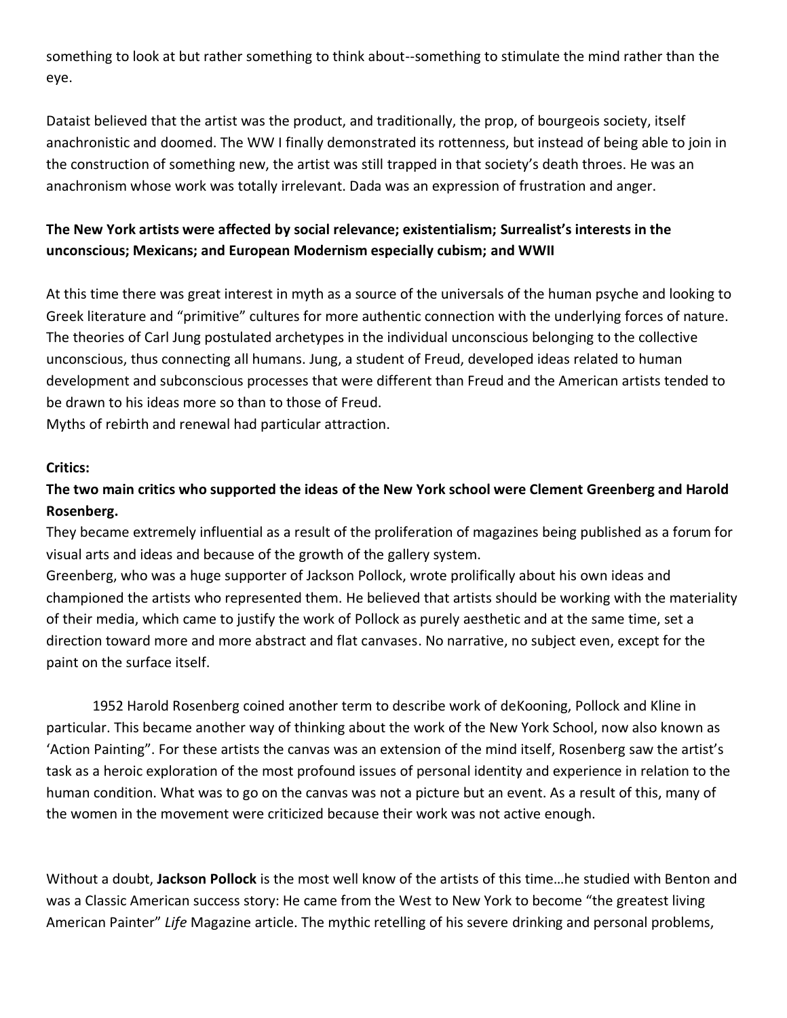something to look at but rather something to think about--something to stimulate the mind rather than the eye.

Dataist believed that the artist was the product, and traditionally, the prop, of bourgeois society, itself anachronistic and doomed. The WW I finally demonstrated its rottenness, but instead of being able to join in the construction of something new, the artist was still trapped in that society's death throes. He was an anachronism whose work was totally irrelevant. Dada was an expression of frustration and anger.

# **The New York artists were affected by social relevance; existentialism; Surrealist's interests in the unconscious; Mexicans; and European Modernism especially cubism; and WWII**

At this time there was great interest in myth as a source of the universals of the human psyche and looking to Greek literature and "primitive" cultures for more authentic connection with the underlying forces of nature. The theories of Carl Jung postulated archetypes in the individual unconscious belonging to the collective unconscious, thus connecting all humans. Jung, a student of Freud, developed ideas related to human development and subconscious processes that were different than Freud and the American artists tended to be drawn to his ideas more so than to those of Freud.

Myths of rebirth and renewal had particular attraction.

#### **Critics:**

# **The two main critics who supported the ideas of the New York school were Clement Greenberg and Harold Rosenberg.**

They became extremely influential as a result of the proliferation of magazines being published as a forum for visual arts and ideas and because of the growth of the gallery system.

Greenberg, who was a huge supporter of Jackson Pollock, wrote prolifically about his own ideas and championed the artists who represented them. He believed that artists should be working with the materiality of their media, which came to justify the work of Pollock as purely aesthetic and at the same time, set a direction toward more and more abstract and flat canvases. No narrative, no subject even, except for the paint on the surface itself.

1952 Harold Rosenberg coined another term to describe work of deKooning, Pollock and Kline in particular. This became another way of thinking about the work of the New York School, now also known as 'Action Painting". For these artists the canvas was an extension of the mind itself, Rosenberg saw the artist's task as a heroic exploration of the most profound issues of personal identity and experience in relation to the human condition. What was to go on the canvas was not a picture but an event. As a result of this, many of the women in the movement were criticized because their work was not active enough.

Without a doubt, **Jackson Pollock** is the most well know of the artists of this time…he studied with Benton and was a Classic American success story: He came from the West to New York to become "the greatest living American Painter" *Life* Magazine article. The mythic retelling of his severe drinking and personal problems,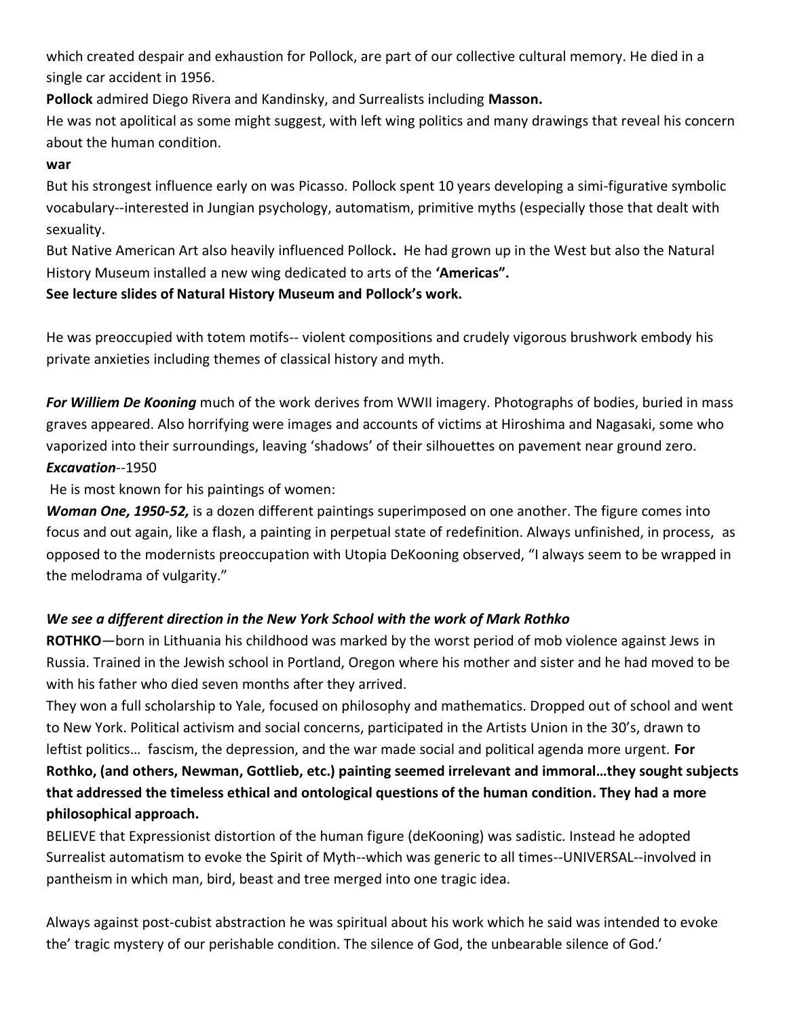which created despair and exhaustion for Pollock, are part of our collective cultural memory. He died in a single car accident in 1956.

**Pollock** admired Diego Rivera and Kandinsky, and Surrealists including **Masson.**

He was not apolitical as some might suggest, with left wing politics and many drawings that reveal his concern about the human condition.

## **war**

But his strongest influence early on was Picasso. Pollock spent 10 years developing a simi-figurative symbolic vocabulary--interested in Jungian psychology, automatism, primitive myths (especially those that dealt with sexuality.

But Native American Art also heavily influenced Pollock**.** He had grown up in the West but also the Natural History Museum installed a new wing dedicated to arts of the **'Americas".** 

## **See lecture slides of Natural History Museum and Pollock's work.**

He was preoccupied with totem motifs-- violent compositions and crudely vigorous brushwork embody his private anxieties including themes of classical history and myth.

*For Williem De Kooning* much of the work derives from WWII imagery. Photographs of bodies, buried in mass graves appeared. Also horrifying were images and accounts of victims at Hiroshima and Nagasaki, some who vaporized into their surroundings, leaving 'shadows' of their silhouettes on pavement near ground zero. *Excavation*--1950

He is most known for his paintings of women:

*Woman One, 1950-52,* is a dozen different paintings superimposed on one another. The figure comes into focus and out again, like a flash, a painting in perpetual state of redefinition. Always unfinished, in process, as opposed to the modernists preoccupation with Utopia DeKooning observed, "I always seem to be wrapped in the melodrama of vulgarity."

## *We see a different direction in the New York School with the work of Mark Rothko*

**ROTHKO**—born in Lithuania his childhood was marked by the worst period of mob violence against Jews in Russia. Trained in the Jewish school in Portland, Oregon where his mother and sister and he had moved to be with his father who died seven months after they arrived.

They won a full scholarship to Yale, focused on philosophy and mathematics. Dropped out of school and went to New York. Political activism and social concerns, participated in the Artists Union in the 30's, drawn to leftist politics… fascism, the depression, and the war made social and political agenda more urgent. **For Rothko, (and others, Newman, Gottlieb, etc.) painting seemed irrelevant and immoral…they sought subjects that addressed the timeless ethical and ontological questions of the human condition. They had a more philosophical approach.**

BELIEVE that Expressionist distortion of the human figure (deKooning) was sadistic. Instead he adopted Surrealist automatism to evoke the Spirit of Myth--which was generic to all times--UNIVERSAL--involved in pantheism in which man, bird, beast and tree merged into one tragic idea.

Always against post-cubist abstraction he was spiritual about his work which he said was intended to evoke the' tragic mystery of our perishable condition. The silence of God, the unbearable silence of God.'